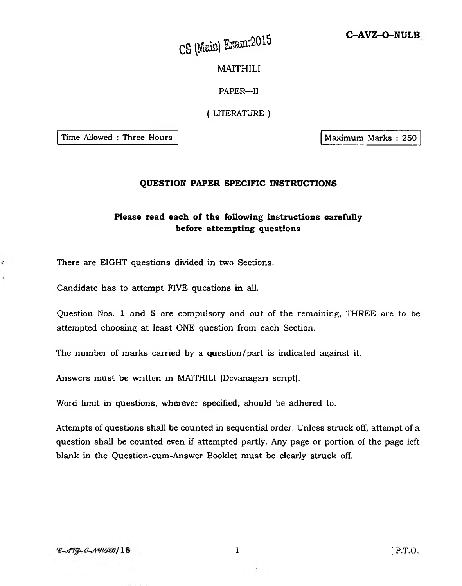# **C-AVZ-O-NULB**

CS (Main) Exam: 2015

MAITHILI

PAPER—II

( LITERATURE )

Time Allowed : Three Hours | Naximum Marks : 250

 $\epsilon$ 

### **QUESTION PAPER SPECIFIC INSTRUCTIONS**

# **Please read each of the following instructions carefully before attempting questions**

There are EIGHT questions divided in two Sections.

Candidate has to attempt FIVE questions in all.

Question Nos. 1 and 5 are compulsory and out of the remaining, THREE are to be attempted choosing at least ONE question from each Section.

The number of marks carried by a question/part is indicated against it.

Answers must be written in MAITHILI (Devanagari script).

Word limit in questions, wherever specified, should be adhered to.

Attempts of questions shall be counted in sequential order. Unless struck off, attempt of a question shall be counted even if attempted partly. Any page or portion of the page left blank in the Question-cum-Answer Booklet must be clearly struck off.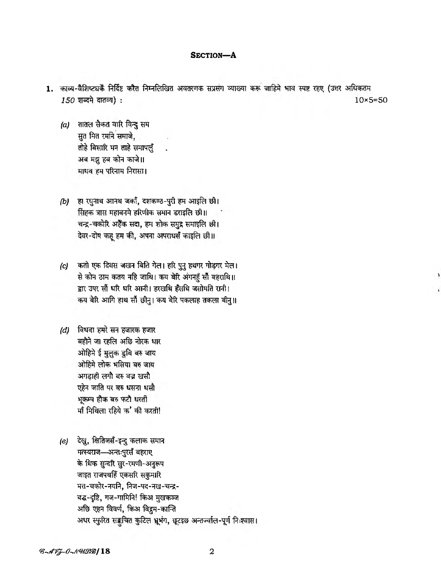### SECTION-A

- 1. काव्य-वैशिष्ट्यकैं निर्दिष्ट करैत निम्नलिखित अवतरणक सप्रसंग व्याख्या करू जाहिमे भाव स्पष्ट रहए (उत्तर अधिकतम 150 शब्दमे दातव्य) :  $10\times 5 = 50$ 
	- $(a)$  तातल सैकत वारि विन्दु सम सुत मित रमनि समाजे, तोहे बिसारि मन ताहे समापलूँ अब मझू हब कोन काजे॥ माधव हम परिनाम निरासा।
	- (b) हा रधुनाथ आनथ जर्का, दशकण्ठ-पुरी हम आइलि छी। सिंहक त्रास महावनमे हरिणीक समान डराइलि छी।। चन्द्र-चकोरि अहैँक सदा, हम शोक समुद्र समाइलि छी। देवर-दोष कह हम की, अपना अपराधर्स काइलि छी।।
	- कतो एक दिवस जखन बिति गेल। हरि पुनु हथगर गोड़गर मेल।  $(c)$ से कोन ठाम कतय नहि जाथि। कय बेरि अंगनहुँ सौं बहराथि॥ द्वार उपर सौं धरि धरि आनी। हरखथि हँसथि जसोमति रानी। कय बेरि आगि हाथ सौं छीनु। कय बेरि पकलाह तकला बीनु॥
	- (d) विधवा हमरे सन हजारक हजार बहौने जा रहलि अछि नोरक धार ओहिमे ई मुलुक डुबि बरु जाय ओहिमे लोक भसिया बरु जाय अगड़ाही लगौ बरु बज़ खसौ एहेन जाति पर बरु धसना धसौ भूकम्प हौक बरु फटौ धरती र्मां मिथिला रहिये क' की करती!
	- (e) देखू, क्षितिजसँ-इन्दु कलाक समान मत्स्यराज-अन्तःपुरसँ बहराए के शिक सुन्दरि सुर-रमणी-अनुरूप जाइत राजपथहिँ एकसरि सकुमारि मत्त-चकोर-नयनि, निज-पद-नख-चन्द्र-बद्ध-दृष्टि, गज-गामिनि! किअ मुखकञ्ज अछि एहन विवर्ण, किअ विद्रम-कान्ति अधर स्फुरित सङ्कवित कुटिल भूभंग, छूटइछ अन्तज्वील-पूर्ण निःश्वास।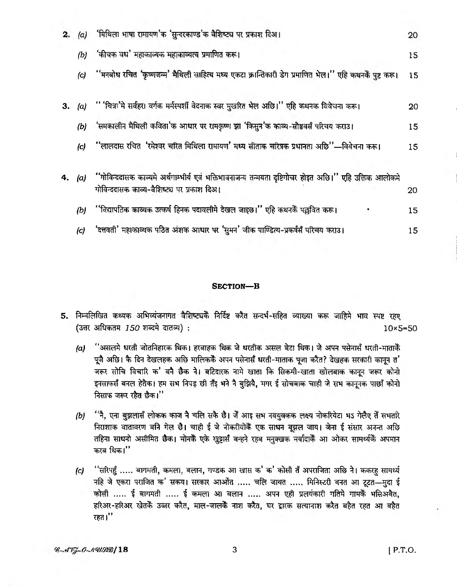| 2. | (a)      | 'मिथिला भाषा रामायण'क 'सुन्दरकाण्ड'क वैशिष्ट्य पर प्रकाश दिअ।                                                                                         | 20              |
|----|----------|-------------------------------------------------------------------------------------------------------------------------------------------------------|-----------------|
|    | (b)      | 'कीचक वध' महाकाव्यक महाकाव्यत्व प्रमाणित करू।                                                                                                         | 15              |
|    | (c)      | ''मनबोध रचित 'कृष्णजन्म' मैथिली साहित्य मध्य एकटा क्रान्तिकारी डेग प्रमाणित भेल।'' एहि कथनकैं पुष्ट करू।                                              | 15 <sub>1</sub> |
| 3. | $\alpha$ | '' 'चित्र''मे सर्वहर। वर्गक मर्मस्पर्शी वेदनाक स्वर मुखरित भेल अछि।'' एहि कथनक विवेचन। करू।                                                           | 20              |
|    | (b)      | 'समकालीन मैथिली कविता'क आधार पर रामकृष्ण झा 'किसुन'क काव्य-सौष्ठवसँ परिचय कराउ।                                                                       | 15              |
|    | (c)      | "लालदास रचित 'रमेश्वर चरित मिथिला रामायण' मध्य सीताक चरित्रक प्रधानता अछि''—विवेचना करू।                                                              | 15              |
| 4. | (a)      | ''गोविन्ददासक काव्यमे अर्थगाम्भीर्य एवं भक्तिभावनाजन्य तन्मयता दृष्टिगोचर होइत अछि।'' एहि उक्तिक आलोकमे<br>गोविन्ददासक काव्य-वैशिष्ट्य पर प्रकाश दिअ। | 20              |
|    | (b)      | ''विद्यापतिक काव्यक उत्कर्ष हिनक पदावलीमे देखल जाइछ।'' एहि कथनकैं पल्लवित करू।                                                                        | 15              |
|    | (c)      | 'दत्तवती' महाकाव्यक पठित अंशक आधार पर 'सुमन' जीक पाण्डित्य-प्रकर्षसँ परिचय कराउ।                                                                      | 15              |

## SECTION-B

- 5. निम्नलिखित कथ्यक अभिव्यंजनागत वैशिष्ट्यकें निर्दिष्ट करैत सन्दर्भ-सहित व्याख्या करू जाहिमे भाव स्पष्ट रहए (उत्तर अधिकतम 150 शब्दमे दातव्य) :  $10\times 5 = 50$ 
	- ''असलमे धरती जोतनिहारक थिक। हरबाहक थिक जे धरतीक असल बेटा थिक। जे अपन पसेनासँ धरती-माताकैं  $(a)$ पूजै अछि। कै दिन देखलहक अछि मालिककेें अपन पसेनासँ धरती-माताक पूजा करैत? देखहक सरकारी कानून त' जरूर सोचि विचारि क' बनै छैक ने। बटिदारक नामे खाता कि सिकमी-खाता खोलबाक कानून जरूर कोनो इनसाफर्स बनल हेतैक। हम सभ निपड़ छी तेंइ भने नै बुझियै, मगर ई सोचबाक चाही जे सभ कानूनक पाछाँ कोनो निसाफ जरूर रहैत छैक।"
	- ी, एना बुझलासँ लोकक काज नै चलि सकै छै। जैं आइ सभ नवयुवकक लक्ष्य नोकरियेटा भऽ गेलैए तें सभतरि  $(b)$ निराशाक वातावरण बनि गेल छै। चाही ई जे नोकरीयोकैं एक साधन बूझल जाय। जेना ई संसार अनन्त अछि तहिना साधनो असीमित छैक। मोनकै एके खुट्टार्स बन्हने रहब मनुक्खक मर्यादाकैं आ ओकर सामर्थ्यकैं अपमान करब थिक।''
	- ''सरिपहुँ ..... बागमती, कमला, बलान, गण्डक आ खास क' क' कोसी तैं अपराजिता अछि ने। ककरहु सामर्थ्य  $(c)$ नहि जे एकरा पराजित क' सकय। सरकार आओंत ..... चलि जायत ..... मिनिस्टरी बनत आ टूटत-मुदा ई कोसी ..... ई बागमती ..... ई कमला आ बलान ..... अपन एही प्रलयकारी गतिमे गामकें भसिअबैत, हरिअर-हरिअर खेतकें उज्जर करैत, माल-जालकें नाश करैत, घर द्वारक सत्यानाश करैत बहैत रहत आ बहैत रहत।''